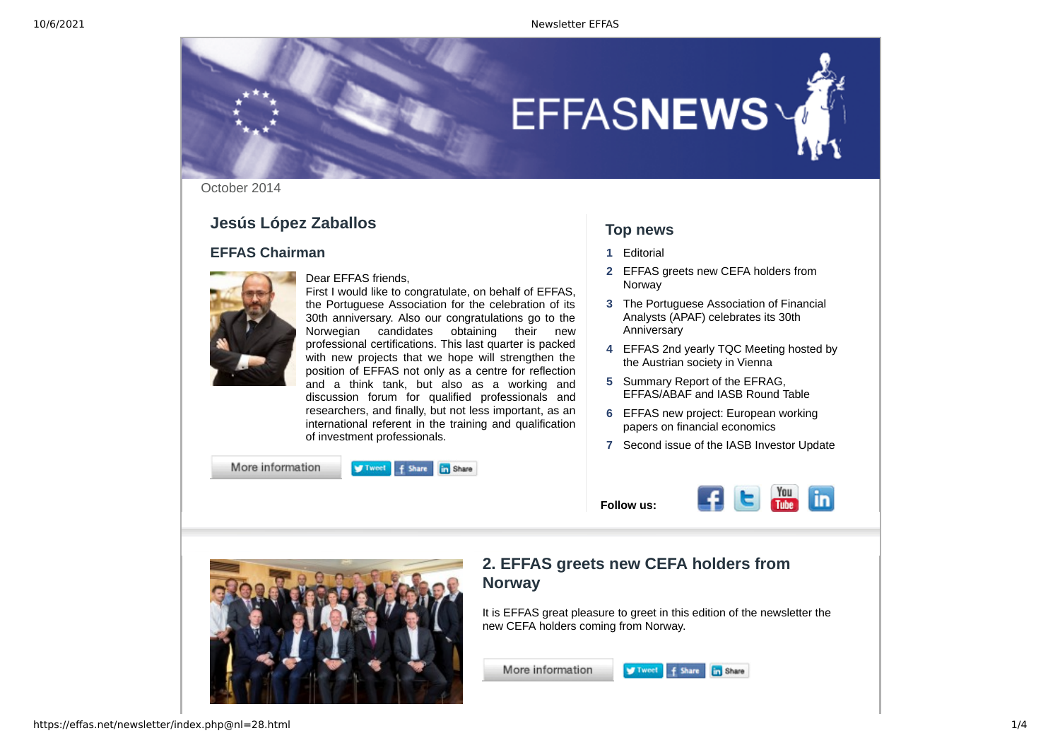

October 2014

#### **Jesús López Zaballos**

#### **EFFAS Chairman**



Dear EFFAS friends, First I would like to congratulate, on behalf of EFFAS, the Portuguese Association for the celebration of its 30th anniversary. Also our congratulations go to the Norwegian candidates obtaining their new professional certifications. This last quarter is packed with new projects that we hope will strengthen the position of EFFAS not only as a centre for reflection and a think tank, but also as a working and discussion forum for qualified professionals and researchers, and finally, but not less important, as an international referent in the training and qualification of investment professionals.

More information



#### **Top news**

- **1** [Editorial](https://effas.net/newsletter/redireccion.php@rdweb=28.html)
- **2** [EFFAS greets new CEFA holders from](https://effas.net/newsletter/noticia.php@not_id=61.html) Norway
- **3** [The Portuguese Association of Financial](https://effas.net/newsletter/noticia.php@not_id=63.html) Analysts (APAF) celebrates its 30th Anniversary
- **4** [EFFAS 2nd yearly TQC Meeting hosted by](https://effas.net/newsletter/noticia.php@not_id=64.html) the Austrian society in Vienna
- **5** Summary Report of the EFRAG, [EFFAS/ABAF and IASB Round Table](https://effas.net/newsletter/noticia.php@not_id=65.html)
- **6** [EFFAS new project: European working](https://effas.net/newsletter/noticia.php@not_id=67.html) papers on financial economics
- **7** [Second issue of the IASB Investor Update](https://effas.net/newsletter/noticia.php@not_id=66.html)

E

 $\frac{You}{Two}$  in

**Follow us:**



#### **2. EFFAS greets new CEFA holders from Norway**

l.

It is EFFAS great pleasure to greet in this edition of the newsletter the new CEFA holders coming from Norway.

Tweet f Share in Share

More information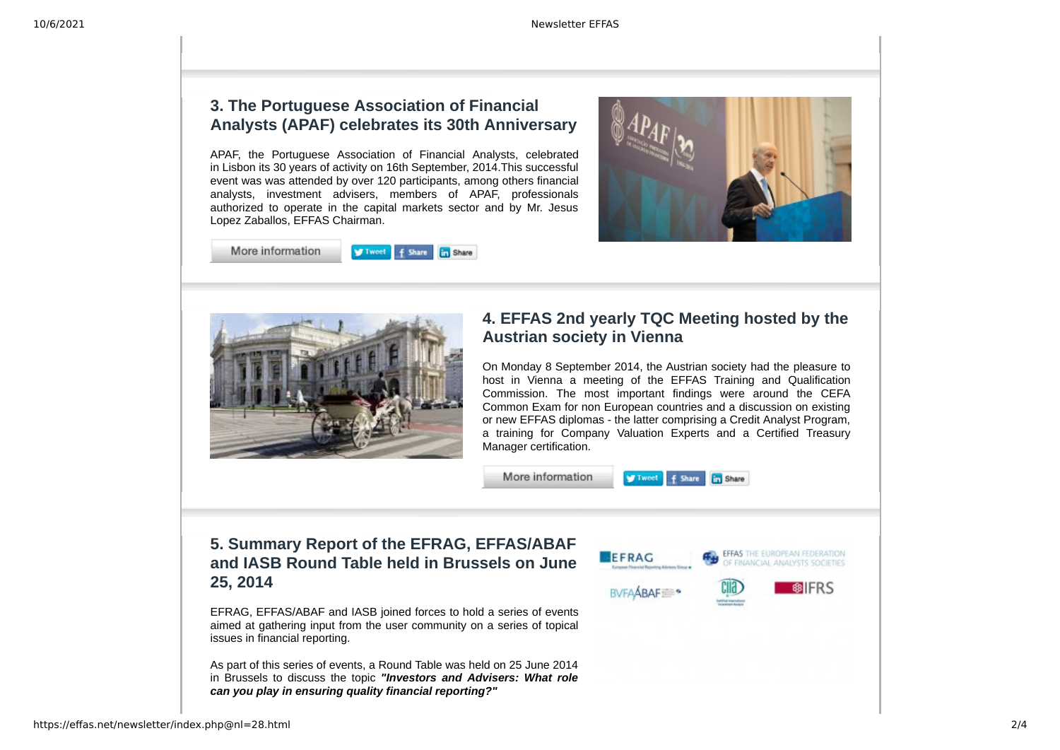#### **3. The Portuguese Association of Financial Analysts (APAF) celebrates its 30th Anniversary**

APAF, the Portuguese Association of Financial Analysts, celebrated in Lisbon its 30 years of activity on 16th September, 2014.This successful event was was attended by over 120 participants, among others financial analysts, investment advisers, members of APAF, professionals authorized to operate in the capital markets sector and by Mr. Jesus Lopez Zaballos, EFFAS Chairman.

More information L

**Tweet** f Share **En** Share





#### **4. EFFAS 2nd yearly TQC Meeting hosted by the Austrian society in Vienna**

On Monday 8 September 2014, the Austrian society had the pleasure to host in Vienna a meeting of the EFFAS Training and Qualification Commission. The most important findings were around the CEFA Common Exam for non European countries and a discussion on existing or new EFFAS diplomas - the latter comprising a Credit Analyst Program, a training for Company Valuation Experts and a Certified Treasury Manager certification.



#### **5. Summary Report of the EFRAG, EFFAS/ABAF and IASB Round Table held in Brussels on June 25, 2014**

EFRAG, EFFAS/ABAF and IASB joined forces to hold a series of events aimed at gathering input from the user community on a series of topical issues in financial reporting.

As part of this series of events, a Round Table was held on 25 June 2014 in Brussels to discuss the topic *"Investors and Advisers: What role can you play in ensuring quality financial reporting?"*

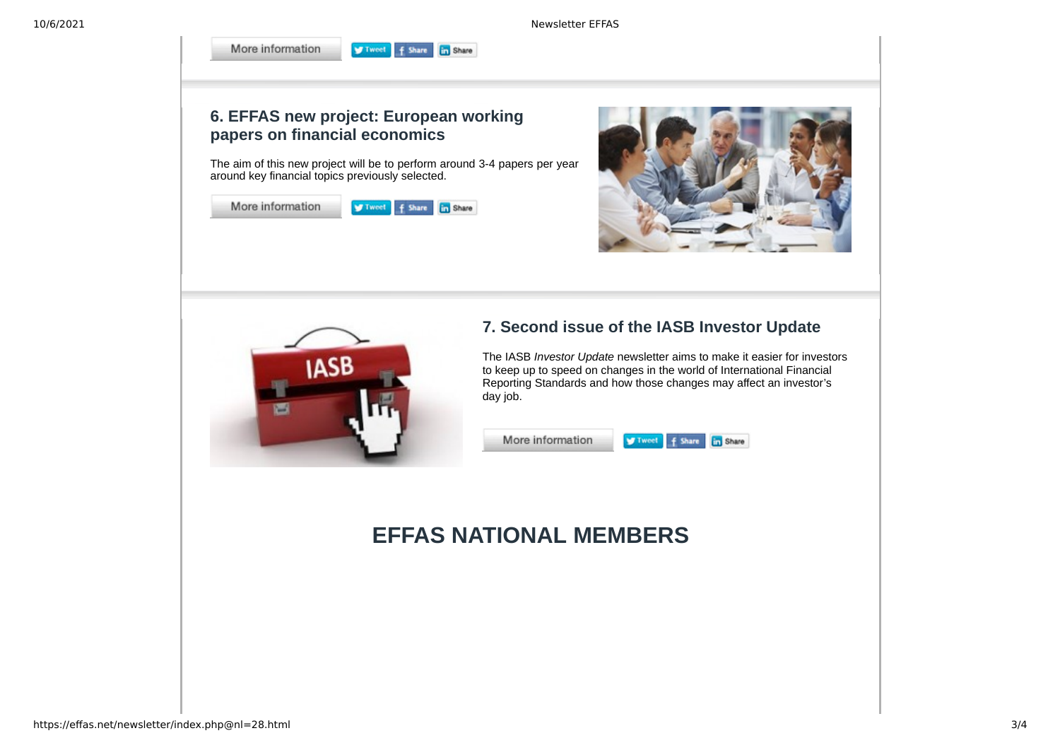10/6/2021 Newsletter EFFAS

## **6. EFFAS new project: European working papers on financial economics**

L

The aim of this new project will be to perform around 3-4 papers per year around key financial topics previously selected.

Tweet f Share in Share

| More information | V Tweet f Share in Share |  |
|------------------|--------------------------|--|
|                  |                          |  |

More information





### **7. Second issue of the IASB Investor Update**

Į.

The IASB *Investor Update* newsletter aims to make it easier for investors to keep up to speed on changes in the world of International Financial Reporting Standards and how those changes may affect an investor's day job.

Tweet f Share in Share

More information

# **EFFAS NATIONAL MEMBERS**